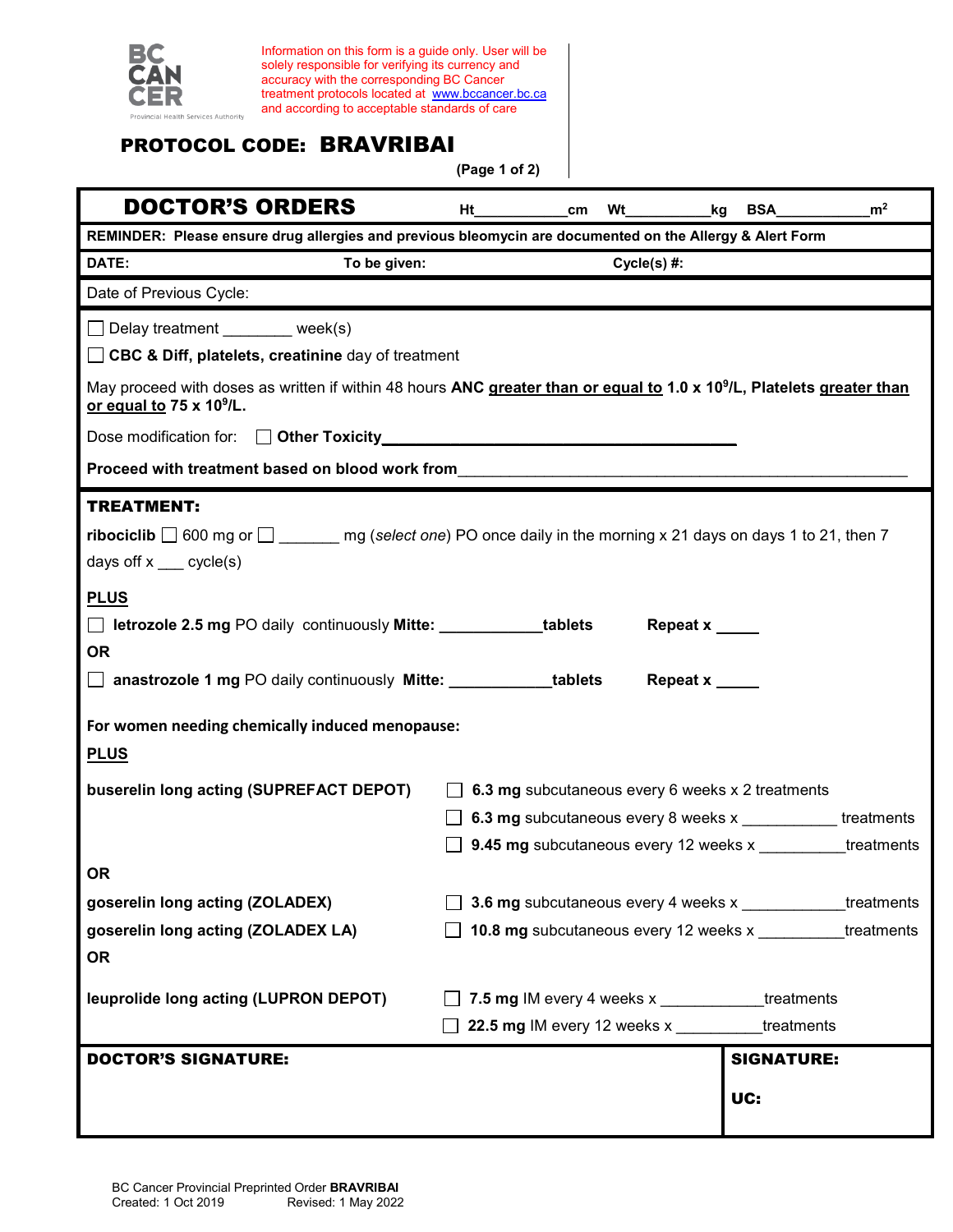

Information on this form is a guide only. User will be solely responsible for verifying its currency and accuracy with the corresponding BC Cancer treatment protocols located at [www.bccancer.bc.ca](http://www.bccancer.bc.ca/) and according to acceptable standards of care

## PROTOCOL CODE: BRAVRIBAI

**(Page 1 of 2)**

| <b>DOCTOR'S ORDERS</b>                                                                                                                                                                                   | Ht                                                                |                                                     |  |  |               |     |                   | m <sup>2</sup> |
|----------------------------------------------------------------------------------------------------------------------------------------------------------------------------------------------------------|-------------------------------------------------------------------|-----------------------------------------------------|--|--|---------------|-----|-------------------|----------------|
| REMINDER: Please ensure drug allergies and previous bleomycin are documented on the Allergy & Alert Form                                                                                                 |                                                                   |                                                     |  |  |               |     |                   |                |
| To be given:<br>DATE:                                                                                                                                                                                    |                                                                   |                                                     |  |  | $Cycle(s)$ #: |     |                   |                |
| Date of Previous Cycle:                                                                                                                                                                                  |                                                                   |                                                     |  |  |               |     |                   |                |
| Delay treatment ________ week(s)                                                                                                                                                                         |                                                                   |                                                     |  |  |               |     |                   |                |
| □ CBC & Diff, platelets, creatinine day of treatment                                                                                                                                                     |                                                                   |                                                     |  |  |               |     |                   |                |
| May proceed with doses as written if within 48 hours ANC greater than or equal to 1.0 x 10 <sup>9</sup> /L, Platelets greater than<br>or equal to 75 x 10 <sup>9</sup> /L.                               |                                                                   |                                                     |  |  |               |     |                   |                |
|                                                                                                                                                                                                          |                                                                   |                                                     |  |  |               |     |                   |                |
| Proceed with treatment based on blood work from                                                                                                                                                          |                                                                   |                                                     |  |  |               |     |                   |                |
| <b>TREATMENT:</b>                                                                                                                                                                                        |                                                                   |                                                     |  |  |               |     |                   |                |
| <b>ribociclib</b> $\Box$ 600 mg or $\Box$ mg (select one) PO once daily in the morning x 21 days on days 1 to 21, then 7                                                                                 |                                                                   |                                                     |  |  |               |     |                   |                |
| days off $x$ ___ cycle(s)                                                                                                                                                                                |                                                                   |                                                     |  |  |               |     |                   |                |
| <b>PLUS</b><br><b>I</b> letrozole 2.5 mg PO daily continuously Mitte: ____________tablets<br>Repeat x<br><b>OR</b><br>anastrozole 1 mg PO daily continuously Mitte: ___________tablets<br>Repeat x _____ |                                                                   |                                                     |  |  |               |     |                   |                |
| For women needing chemically induced menopause:<br><b>PLUS</b>                                                                                                                                           |                                                                   |                                                     |  |  |               |     |                   |                |
| buserelin long acting (SUPREFACT DEPOT)                                                                                                                                                                  |                                                                   | 6.3 mg subcutaneous every 6 weeks x 2 treatments    |  |  |               |     |                   |                |
|                                                                                                                                                                                                          | <b>6.3 mg</b> subcutaneous every 8 weeks x ____________treatments |                                                     |  |  |               |     |                   |                |
|                                                                                                                                                                                                          | 9.45 mg subcutaneous every 12 weeks x _________<br>treatments     |                                                     |  |  |               |     |                   |                |
| <b>OR</b>                                                                                                                                                                                                |                                                                   |                                                     |  |  |               |     |                   |                |
| goserelin long acting (ZOLADEX)                                                                                                                                                                          |                                                                   | 3.6 mg subcutaneous every 4 weeks x<br>treatments   |  |  |               |     |                   |                |
| goserelin long acting (ZOLADEX LA)                                                                                                                                                                       |                                                                   | 10.8 mg subcutaneous every 12 weeks x<br>treatments |  |  |               |     |                   |                |
| <b>OR</b>                                                                                                                                                                                                |                                                                   |                                                     |  |  |               |     |                   |                |
| leuprolide long acting (LUPRON DEPOT)                                                                                                                                                                    |                                                                   | 7.5 mg IM every 4 weeks x                           |  |  |               |     | treatments        |                |
|                                                                                                                                                                                                          |                                                                   | 22.5 mg IM every 12 weeks x                         |  |  |               |     | treatments        |                |
| <b>DOCTOR'S SIGNATURE:</b>                                                                                                                                                                               |                                                                   |                                                     |  |  |               |     | <b>SIGNATURE:</b> |                |
|                                                                                                                                                                                                          |                                                                   |                                                     |  |  |               |     |                   |                |
|                                                                                                                                                                                                          |                                                                   |                                                     |  |  |               | UC: |                   |                |